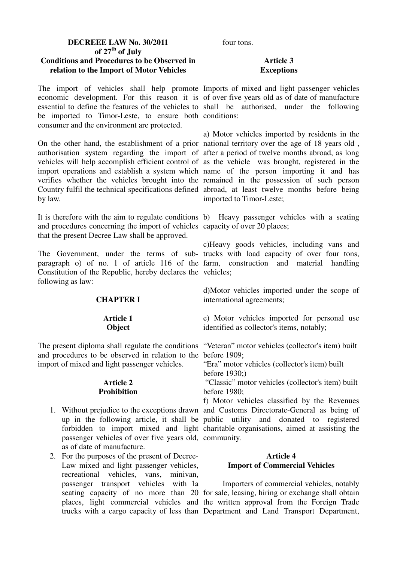# **DECREEE LAW No. 30/2011 of 27th of July Conditions and Procedures to be Observed in relation to the Import of Motor Vehicles**

The import of vehicles shall help promote Imports of mixed and light passenger vehicles economic development. For this reason it is of over five years old as of date of manufacture essential to define the features of the vehicles to shall be authorised, under the following be imported to Timor-Leste, to ensure both conditions: consumer and the environment are protected.

On the other hand, the establishment of a prior national territory over the age of 18 years old , authorisation system regarding the import of after a period of twelve months abroad, as long vehicles will help accomplish efficient control of as the vehicle was brought, registered in the import operations and establish a system which name of the person importing it and has verifies whether the vehicles brought into the remained in the possession of such person Country fulfil the technical specifications defined abroad, at least twelve months before being by law.

It is therefore with the aim to regulate conditions b) Heavy passenger vehicles with a seating and procedures concerning the import of vehicles capacity of over 20 places; that the present Decree Law shall be approved.

The Government, under the terms of sub-trucks with load capacity of over four tons, paragraph o) of no. 1 of article 116 of the farm, construction and material handling Constitution of the Republic, hereby declares the vehicles; following as law:

# **CHAPTER I**

### **Article 1 Object**

The present diploma shall regulate the conditions "Veteran" motor vehicles (collector's item) built and procedures to be observed in relation to the before 1909; import of mixed and light passenger vehicles.

### **Article 2 Prohibition**

- passenger vehicles of over five years old, community. as of date of manufacture.
- 2. For the purposes of the present of Decree-Law mixed and light passenger vehicles, recreational vehicles, vans, minivan, passenger transport vehicles with la

four tons.

# **Article 3 Exceptions**

a) Motor vehicles imported by residents in the imported to Timor-Leste;

c)Heavy goods vehicles, including vans and

d)Motor vehicles imported under the scope of international agreements;

e) Motor vehicles imported for personal use identified as collector's items, notably;

"Era" motor vehicles (collector's item) built before 1930;)

 "Classic" motor vehicles (collector's item) built before 1980;

1. Without prejudice to the exceptions drawn and Customs Directorate-General as being of up in the following article, it shall be public utility and donated to registered forbidden to import mixed and light charitable organisations, aimed at assisting the f) Motor vehicles classified by the Revenues

# **Article 4 Import of Commercial Vehicles**

seating capacity of no more than 20 for sale, leasing, hiring or exchange shall obtain places, light commercial vehicles and the written approval from the Foreign Trade trucks with a cargo capacity of less than Department and Land Transport Department, 1. Importers of commercial vehicles, notably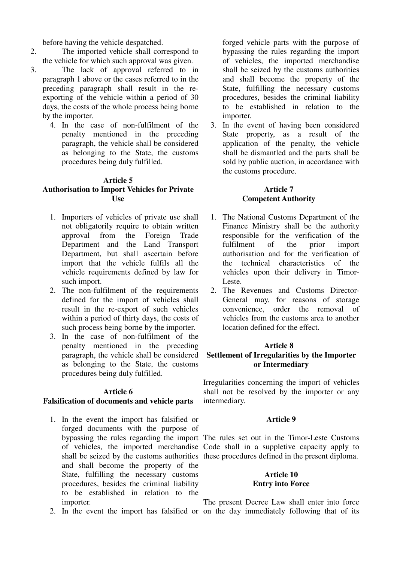before having the vehicle despatched.

- 2. The imported vehicle shall correspond to the vehicle for which such approval was given.
- 3. The lack of approval referred to in paragraph 1 above or the cases referred to in the preceding paragraph shall result in the reexporting of the vehicle within a period of 30 days, the costs of the whole process being borne by the importer.
	- 4. In the case of non-fulfilment of the penalty mentioned in the preceding paragraph, the vehicle shall be considered as belonging to the State, the customs procedures being duly fulfilled.

# **Article 5**

# **Authorisation to Import Vehicles for Private Use**

- 1. Importers of vehicles of private use shall not obligatorily require to obtain written approval from the Foreign Trade Department and the Land Transport Department, but shall ascertain before import that the vehicle fulfils all the vehicle requirements defined by law for such import.
- 2. The non-fulfilment of the requirements defined for the import of vehicles shall result in the re-export of such vehicles within a period of thirty days, the costs of such process being borne by the importer.
- 3. In the case of non-fulfilment of the penalty mentioned in the preceding paragraph, the vehicle shall be considered as belonging to the State, the customs procedures being duly fulfilled.

#### **Article 6**

### **Falsification of documents and vehicle parts**

- 1. In the event the import has falsified or forged documents with the purpose of and shall become the property of the State, fulfilling the necessary customs procedures, besides the criminal liability to be established in relation to the importer.
- 

forged vehicle parts with the purpose of bypassing the rules regarding the import of vehicles, the imported merchandise shall be seized by the customs authorities and shall become the property of the State, fulfilling the necessary customs procedures, besides the criminal liability to be established in relation to the importer.

3. In the event of having been considered State property, as a result of the application of the penalty, the vehicle shall be dismantled and the parts shall be sold by public auction, in accordance with the customs procedure.

### **Article 7 Competent Authority**

- 1. The National Customs Department of the Finance Ministry shall be the authority responsible for the verification of the fulfilment of the prior import authorisation and for the verification of the technical characteristics of the vehicles upon their delivery in Timor-Leste.
- 2. The Revenues and Customs Director-General may, for reasons of storage convenience, order the removal of vehicles from the customs area to another location defined for the effect.

# **Article 8 Settlement of Irregularities by the Importer or Intermediary**

Irregularities concerning the import of vehicles shall not be resolved by the importer or any intermediary.

### **Article 9**

bypassing the rules regarding the import The rules set out in the Timor-Leste Customs of vehicles, the imported merchandise Code shall in a suppletive capacity apply to shall be seized by the customs authorities these procedures defined in the present diploma.

### **Article 10 Entry into Force**

2. In the event the import has falsified or on the day immediately following that of its The present Decree Law shall enter into force